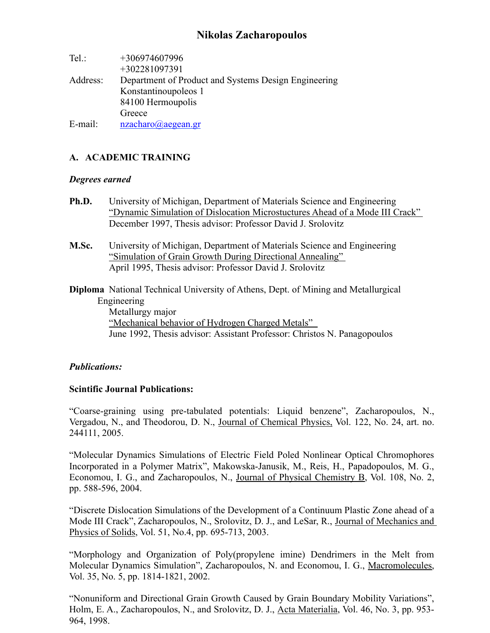# **Nikolas Zacharopoulos**

| $Tel$ :  | +306974607996                                        |
|----------|------------------------------------------------------|
|          | +302281097391                                        |
| Address: | Department of Product and Systems Design Engineering |
|          | Konstantinoupoleos 1                                 |
|          | 84100 Hermoupolis                                    |
|          | Greece                                               |
| E-mail:  | nzacharo@aegean.gr                                   |

## **A. ACADEMIC TRAINING**

#### *Degrees earned*

- **Ph.D.** University of Michigan, Department of Materials Science and Engineering "Dynamic Simulation of Dislocation Microstuctures Ahead of a Mode III Crack" December 1997, Thesis advisor: Professor David J. Srolovitz
- **M.Sc.** University of Michigan, Department of Materials Science and Engineering "Simulation of Grain Growth During Directional Annealing" April 1995, Thesis advisor: Professor David J. Srolovitz
- **Diploma** National Technical University of Athens, Dept. of Mining and Metallurgical Engineering Metallurgy major "Mechanical behavior of Hydrogen Charged Metals" June 1992, Thesis advisor: Assistant Professor: Christos N. Panagopoulos

#### *Publications:*

#### **Scintific Journal Publications:**

"Coarse-graining using pre-tabulated potentials: Liquid benzene", Zacharopoulos, N., Vergadou, N., and Theodorou, D. N., Journal of Chemical Physics, Vol. 122, No. 24, art. no. 244111, 2005.

"Molecular Dynamics Simulations of Electric Field Poled Nonlinear Optical Chromophores Incorporated in a Polymer Matrix", Makowska-Janusik, M., Reis, H., Papadopoulos, M. G., Economou, I. G., and Zacharopoulos, N., Journal of Physical Chemistry B, Vol. 108, No. 2, pp. 588-596, 2004.

"Discrete Dislocation Simulations of the Development of a Continuum Plastic Zone ahead of a Mode III Crack", Zacharopoulos, N., Srolovitz, D. J., and LeSar, R., Journal of Mechanics and Physics of Solids, Vol. 51, No.4, pp. 695-713, 2003.

"Morphology and Organization of Poly(propylene imine) Dendrimers in the Melt from Molecular Dynamics Simulation", Zacharopoulos, N. and Economou, I. G., Macromolecules, Vol. 35, No. 5, pp. 1814-1821, 2002.

"Nonuniform and Directional Grain Growth Caused by Grain Boundary Mobility Variations", Holm, E. A., Zacharopoulos, N., and Srolovitz, D. J., Acta Materialia, Vol. 46, No. 3, pp. 953- 964, 1998.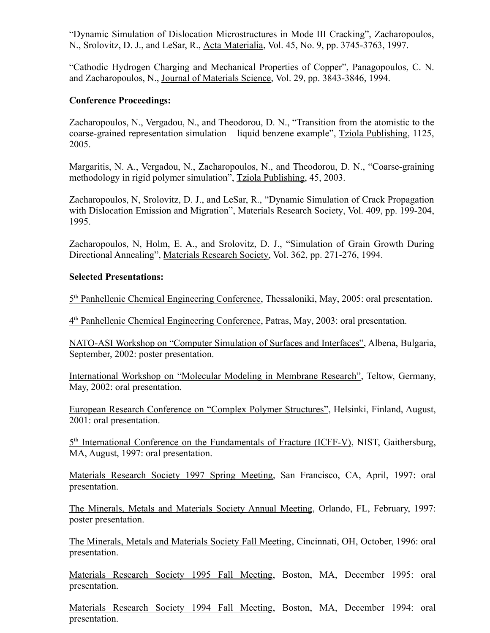"Dynamic Simulation of Dislocation Microstructures in Mode III Cracking", Zacharopoulos, N., Srolovitz, D. J., and LeSar, R., Acta Materialia, Vol. 45, No. 9, pp. 3745-3763, 1997.

"Cathodic Hydrogen Charging and Mechanical Properties of Copper", Panagopoulos, C. N. and Zacharopoulos, N., Journal of Materials Science, Vol. 29, pp. 3843-3846, 1994.

## **Conference Proceedings:**

Zacharopoulos, N., Vergadou, N., and Theodorou, D. N., "Transition from the atomistic to the coarse-grained representation simulation – liquid benzene example", Tziola Publishing, 1125, 2005.

Margaritis, N. A., Vergadou, N., Zacharopoulos, N., and Theodorou, D. N., "Coarse-graining methodology in rigid polymer simulation", Tziola Publishing, 45, 2003.

Zacharopoulos, N, Srolovitz, D. J., and LeSar, R., "Dynamic Simulation of Crack Propagation with Dislocation Emission and Migration", Materials Research Society, Vol. 409, pp. 199-204, 1995.

Zacharopoulos, N, Holm, E. A., and Srolovitz, D. J., "Simulation of Grain Growth During Directional Annealing", Materials Research Society, Vol. 362, pp. 271-276, 1994.

## **Selected Presentations:**

5<sup>th</sup> Panhellenic Chemical Engineering Conference, Thessaloniki, May, 2005: oral presentation.

4<sup>th</sup> Panhellenic Chemical Engineering Conference, Patras, May, 2003: oral presentation.

NATO-ASI Workshop on "Computer Simulation of Surfaces and Interfaces", Albena, Bulgaria, September, 2002: poster presentation.

International Workshop on "Molecular Modeling in Membrane Research", Teltow, Germany, May, 2002: oral presentation.

European Research Conference on "Complex Polymer Structures", Helsinki, Finland, August, 2001: oral presentation.

5<sup>th</sup> International Conference on the Fundamentals of Fracture (ICFF-V), NIST, Gaithersburg, MA, August, 1997: oral presentation.

Materials Research Society 1997 Spring Meeting, San Francisco, CA, April, 1997: oral presentation.

The Minerals, Metals and Materials Society Annual Meeting, Orlando, FL, February, 1997: poster presentation.

The Minerals, Metals and Materials Society Fall Meeting, Cincinnati, OH, October, 1996: oral presentation.

Materials Research Society 1995 Fall Meeting, Boston, MA, December 1995: oral presentation.

Materials Research Society 1994 Fall Meeting, Boston, MA, December 1994: oral presentation.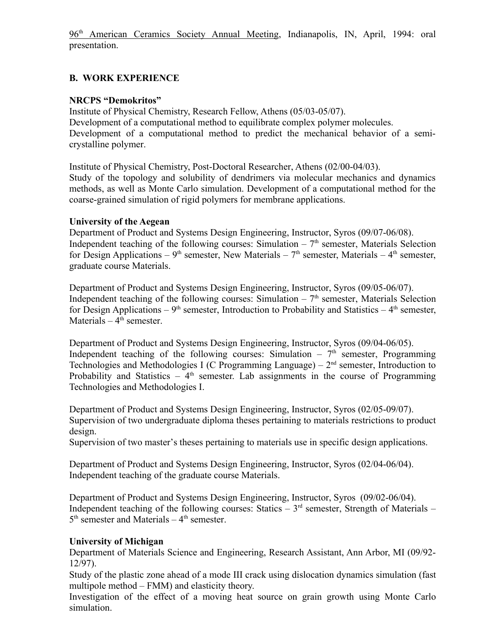96<sup>th</sup> American Ceramics Society Annual Meeting, Indianapolis, IN, April, 1994: oral presentation.

## **B. WORK EXPERIENCE**

### **NRCPS "Demokritos"**

Institute of Physical Chemistry, Research Fellow, Athens (05/03-05/07). Development of a computational method to equilibrate complex polymer molecules. Development of a computational method to predict the mechanical behavior of a semicrystalline polymer.

Institute of Physical Chemistry, Post-Doctoral Researcher, Athens (02/00-04/03). Study of the topology and solubility of dendrimers via molecular mechanics and dynamics methods, as well as Monte Carlo simulation. Development of a computational method for the coarse-grained simulation of rigid polymers for membrane applications.

### **University of the Aegean**

Department of Product and Systems Design Engineering, Instructor, Syros (09/07-06/08). Independent teaching of the following courses: Simulation  $-7<sup>th</sup>$  semester, Materials Selection for Design Applications – 9<sup>th</sup> semester, New Materials – 7<sup>th</sup> semester, Materials – 4<sup>th</sup> semester, graduate course Materials.

Department of Product and Systems Design Engineering, Instructor, Syros (09/05-06/07). Independent teaching of the following courses: Simulation  $-7<sup>th</sup>$  semester, Materials Selection for Design Applications –  $9<sup>th</sup>$  semester, Introduction to Probability and Statistics –  $4<sup>th</sup>$  semester, Materials  $-4<sup>th</sup>$  semester.

Department of Product and Systems Design Engineering, Instructor, Syros (09/04-06/05). Independent teaching of the following courses: Simulation  $-7<sup>th</sup>$  semester, Programming Technologies and Methodologies I (C Programming Language) –  $2<sup>nd</sup>$  semester, Introduction to Probability and Statistics –  $4<sup>th</sup>$  semester. Lab assignments in the course of Programming Technologies and Methodologies I.

Department of Product and Systems Design Engineering, Instructor, Syros (02/05-09/07). Supervision of two undergraduate diploma theses pertaining to materials restrictions to product design.

Supervision of two master's theses pertaining to materials use in specific design applications.

Department of Product and Systems Design Engineering, Instructor, Syros (02/04-06/04). Independent teaching of the graduate course Materials.

Department of Product and Systems Design Engineering, Instructor, Syros (09/02-06/04). Independent teaching of the following courses: Statics –  $3<sup>rd</sup>$  semester, Strength of Materials –  $5<sup>th</sup>$  semester and Materials  $-4<sup>th</sup>$  semester.

## **University of Michigan**

Department of Materials Science and Engineering, Research Assistant, Ann Arbor, MI (09/92- 12/97).

Study of the plastic zone ahead of a mode III crack using dislocation dynamics simulation (fast multipole method – FMM) and elasticity theory.

Investigation of the effect of a moving heat source on grain growth using Monte Carlo simulation.